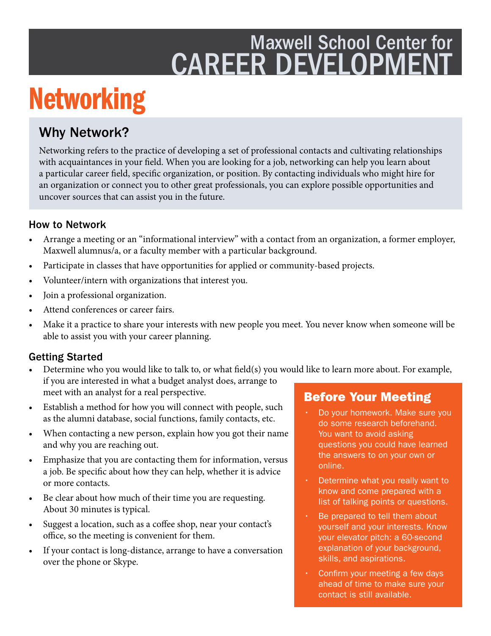## Maxwell School Center for CAREER DEVELOPMENT

# Networking

### Why Network?

Networking refers to the practice of developing a set of professional contacts and cultivating relationships with acquaintances in your feld. When you are looking for a job, networking can help you learn about a particular career feld, specifc organization, or position. By contacting individuals who might hire for an organization or connect you to other great professionals, you can explore possible opportunities and uncover sources that can assist you in the future.

#### How to Network

- Arrange a meeting or an "informational interview" with a contact from an organization, a former employer, Maxwell alumnus/a, or a faculty member with a particular background.
- Participate in classes that have opportunities for applied or community-based projects.
- Volunteer/intern with organizations that interest you.
- Join a professional organization.
- Attend conferences or career fairs.
- Make it a practice to share your interests with new people you meet. You never know when someone will be able to assist you with your career planning.

#### Getting Started

- Determine who you would like to talk to, or what feld(s) you would like to learn more about. For example, if you are interested in what a budget analyst does, arrange to meet with an analyst for a real perspective.
- Establish a method for how you will connect with people, such as the alumni database, social functions, family contacts, etc.
- When contacting a new person, explain how you got their name and why you are reaching out.
- Emphasize that you are contacting them for information, versus a job. Be specifc about how they can help, whether it is advice or more contacts.
- Be clear about how much of their time you are requesting. About 30 minutes is typical.
- Suggest a location, such as a coffee shop, near your contact's office, so the meeting is convenient for them.
- If your contact is long-distance, arrange to have a conversation over the phone or Skype.

#### Before Your Meeting

- Do your homework. Make sure you do some research beforehand. You want to avoid asking questions you could have learned the answers to on your own or online.
- Determine what you really want to know and come prepared with a list of talking points or questions.
- Be prepared to tell them about yourself and your interests. Know your elevator pitch: a 60-second explanation of your background, skills, and aspirations.
- Confirm your meeting a few days ahead of time to make sure your contact is still available.